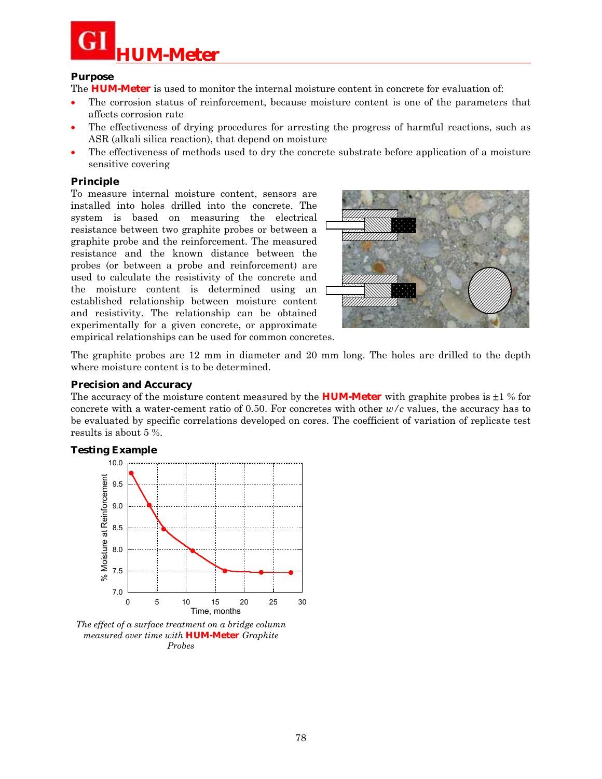

#### **Purpose**

The **HUM-Meter** is used to monitor the internal moisture content in concrete for evaluation of:

- The corrosion status of reinforcement, because moisture content is one of the parameters that affects corrosion rate
- The effectiveness of drying procedures for arresting the progress of harmful reactions, such as ASR (alkali silica reaction), that depend on moisture
- The effectiveness of methods used to dry the concrete substrate before application of a moisture sensitive covering

### **Principle**

To measure internal moisture content, sensors are installed into holes drilled into the concrete. The system is based on measuring the electrical resistance between two graphite probes or between a graphite probe and the reinforcement. The measured resistance and the known distance between the probes (or between a probe and reinforcement) are used to calculate the resistivity of the concrete and the moisture content is determined using an established relationship between moisture content and resistivity. The relationship can be obtained experimentally for a given concrete, or approximate



empirical relationships can be used for common concretes.

The graphite probes are 12 mm in diameter and 20 mm long. The holes are drilled to the depth where moisture content is to be determined.

### **Precision and Accuracy**

The accuracy of the moisture content measured by the **HUM-Meter** with graphite probes is  $\pm 1$  % for concrete with a water-cement ratio of 0.50. For concretes with other *w/c* values, the accuracy has to be evaluated by specific correlations developed on cores. The coefficient of variation of replicate test results is about 5 %.

## **Testing Example**



*The effect of a surface treatment on a bridge column measured over time with* **HUM-Meter** *Graphite Probes*